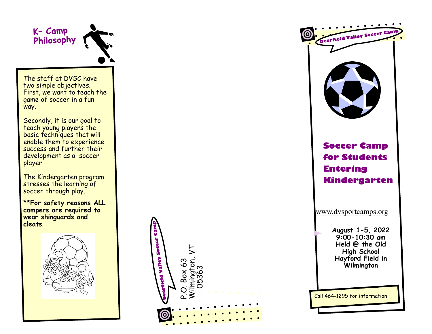K- Camp Philosophy

The staff at DVSC have two simple objectives. First, we want to teach the game of soccer in a fun way.

Secondly, it is our goal to teach young players the basic techniques that will enable them to experience success and further their development as a soccer player.

The Kindergarten program stresses the learning of soccer through play.

**\*\*For safety reasons ALL campers are required to wear shinguards and cleats** .